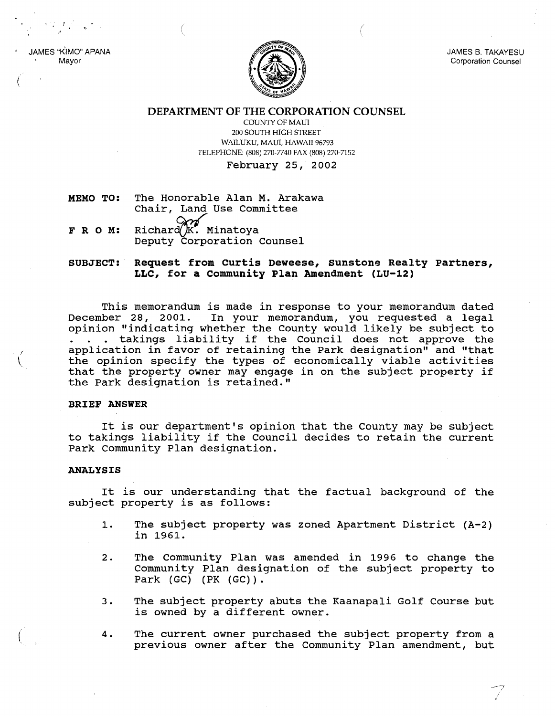JAMES B. TAKAYESU Corporation Counsel

# DEPARTMENT OF THE CORPORATION COUNSEL

COUNTY OF MAUl 200 SOUTH HIGH STREET WAILUKU, MAUl, HAWAII 96793 TELEPHONE: (808) 270-7740 FAX (808) 270-7152

February 25, 2002

- MEMO TO: The Honorable Alan M. Arakawa Chair, Land Use Committee
- FRO M:  $\mathcal{M}$ <br>Richard $\mathbb{X}$ . Minatoya Deputy Corporation Counsel

## SUBJECT: Request from curtis Deweese, Sunstone Realty partners, LLC, for a community Plan Amendment (LU-12)

This memorandum is made in response to your memorandum dated December 28, 2001. In your memorandum, you requested a legal opinion "indicating whether the County would likely be SUbject to Indicating whether the Councy would likely be subject to<br>takings liability if the Council does not approve the application in favor of retaining the Park designation" and "that the opinion specify the types of economically viable activities that the property owner may engage in on the subject property if the Park designation is retained."

### BRIEF ANSWER

(

I

JAMES "KIMO" APANA Mayor

> It is our department's opinion that the County may be subject to takings liability if the Council decides to retain the current Park Community Plan designation.

#### ANALYSIS

It is our understanding that the factual background of the subject property is as follows:

- 1. The SUbject property was zoned Apartment District (A-2) in 1961.
- 2. The Community Plan was amended in 1996 to change the Community Plan designation of the SUbject property to Park (GC) (PK (GC)).
- 3. The SUbject property abuts the Kaanapali Golf Course but is owned by <sup>a</sup> different owner.
- 4. The current owner purchased the subject property from a previous owner after the Community Plan amendment, but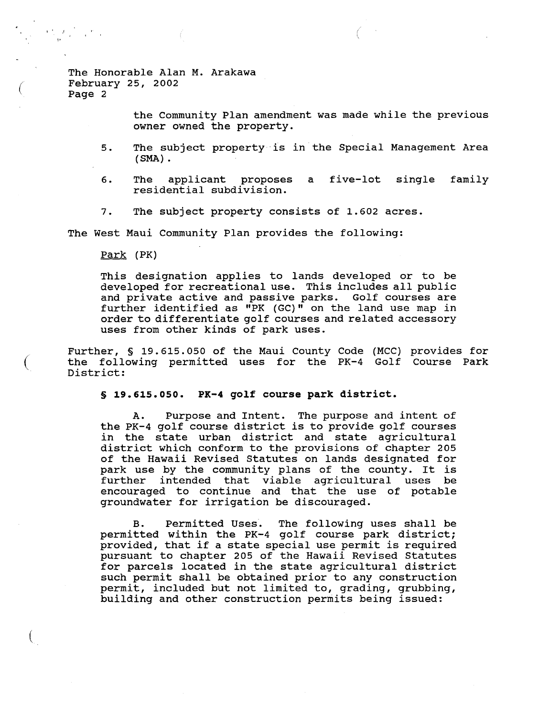> the Community Plan amendment was made while the previous owner owned the property.

(

- 5. The subject property is in the Special Management Area  $(SMA)$ .
- 6. The applicant proposes a five-lot single family residential subdivision.
- 7. The subject property consists of 1.602 acres.

The West Maui Community Plan provides the following:

Park *(PK)*

(

 $\label{eq:3.1} \mathcal{F}(\mathcal{F}) = \mathcal{F}(\mathcal{F}) \quad \text{and} \quad \mathcal{F}(\mathcal{F}) = 0.$ 

(

(

This designation applies to lands developed or to be developed for recreational use. This includes all public and private active and passive parks. Golf courses are further identified as *"PK* (GC)" on the land use map in order to differentiate golf courses and related accessory uses from other kinds of park uses.

Further, § 19.615.050 of the Maui County Code (MCC) provides for the following permitted uses for the PK-4 Golf Course Park District:

### **§ 19.615.050. PK-4 golf course park district.**

A. Purpose and Intent. The purpose and intent of the PK-4 golf course district is to provide golf courses in the state urban district and state agricultural district which conform to the provisions of chapter <sup>205</sup> of the Hawaii Revised Statutes on lands designated for park use by the community plans of the county. It is further intended that viable agricultural uses be encouraged to continue and that the use of potable groundwater for irrigation be discouraged.

B. Permitted Uses. The following uses shall be permitted within the *PK-4* golf course park district; provided, that if <sup>a</sup> state special use permit is required pursuant to chapter 205 of the Hawaii Revised Statutes for parcels located in the state agricultural district such permit shall be obtained prior to any construction permit, included but not limited to, grading, grubbing, building and other construction permits being issued: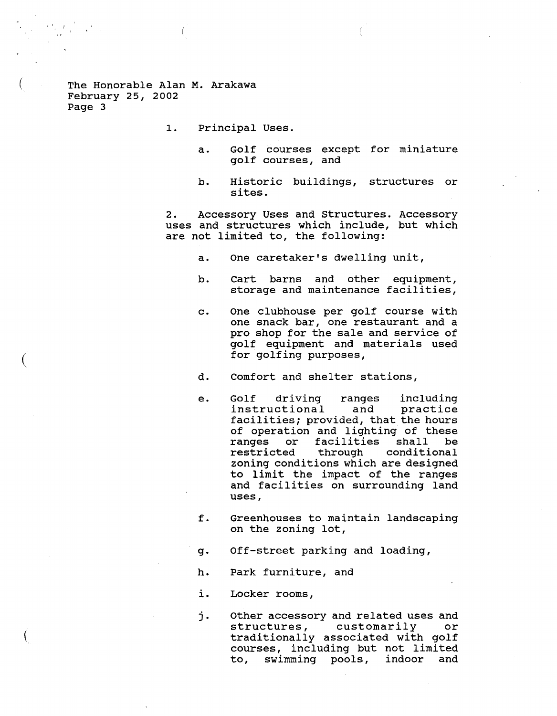$\ell \geq r$ 

(

(

- 1. Principal Uses.
	- a. Golf courses except for miniature golf courses, and
	- b. Historic buildings, structures or sites.

2. Accessory Uses and structures. Accessory uses and structures which include, but which are not limited to, the following:

- a. One caretaker's dwelling unit,
- b. Cart barns and other equipment, storage and maintenance facilities,
- c. One clubhouse per golf course with one snack bar, one restaurant and a pro shop for the sale and service of golf equipment and materials used for golfing purposes,
- d. Comfort and shelter stations,
- e. Golf driving ranges including instructional and facilities; provided, that the hours of operation and lighting of these ranges or facilities shall be restricted through conditional zoning conditions which are designed to limit the impact of the ranges and facilities on surrounding land uses,
- Greenhouses to maintain landscaping on the zoning lot, f.
- Off-street parking and loading, g.
- Park furniture, and h.
- Locker rooms, i.
- Other accessory and related uses and structures, customarily or traditionally associated with golf courses, including but not limited<br>to, swimming pools, indoor and to, swimming pools, j.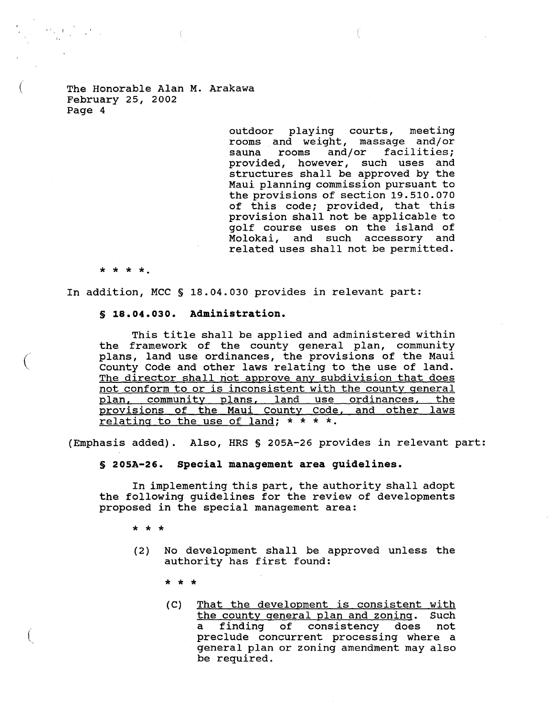> outdoor playing courts, meeting rooms . and weight, massage and/or sauna rooms and/or facilities; provided, however, such uses and structures shall be approved by the Maui planning commission pursuant to the provisions of section 19.510.070 of this code; provided, that this provision shall not be applicable to golf course uses on the island of Molokai, and such accessory and related uses shall not be permitted.

\* \* \* \*.

c,

(

 $\big($ 

In addition, MCC § 18.04.030 provides in relevant part:

## **§ 18.04.030. Administration.**

This title shall be applied and administered within the framework of the county general plan, community plans, land use ordinances, the provisions of the Maui County Code and other laws relating to the use of land. The director shall not approve any subdivision that does not conform to or is inconsistent with the county general<br>plan. community plans, land use ordinances, the plan, community plans, land use ordinances, provisions of the Maui County Code, and other laws relating to the use of land;  $* * * *$ .

(Emphasis added). Also, HRS § 205A-26 provides in relevant part:

## **§ 20SA-26. special management area guidelines.**

In implementing this part, the authority shall adopt the following guidelines for the review of developments proposed in the special management area:

\* \* \*

(2) No development shall be approved unless the authority has first found:

\* \* \*

(C) That the development is consistent with<br>the county general plan and zoning. Such the county general plan and zoning. a finding of consistency does not preclude concurrent processing where a general plan or zoning amendment may also be required.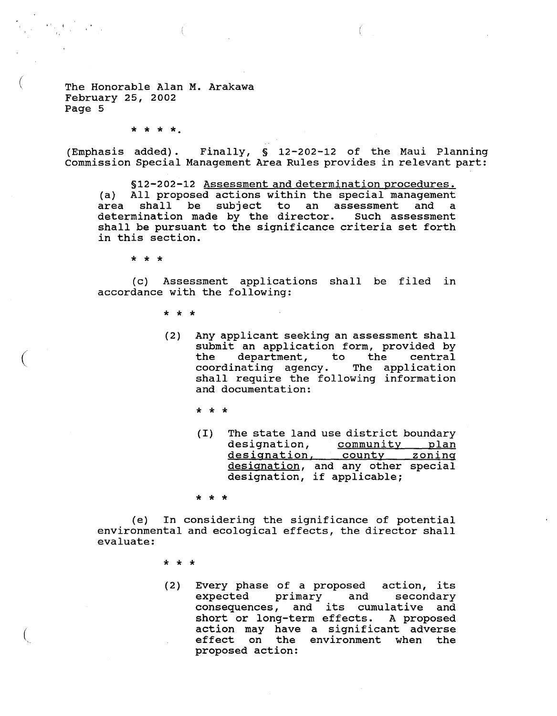(

(

\* \* \* \*.

(Emphasis added). Finally, § 12-202-12 of the Maui Planning commission Special Management Area Rules provides in relevant part:

§12-202-12 Assessment and determination procedures. (a) All proposed actions within the special management area shall be subject to an assessment and a determination made by the director. Such assessment shall be pursuant to the significance criteria set forth in this section.

\* \* \*

(c) Assessment applications shall be filed in accordance with the following:

\* \* \*

(2) Any applicant seeking an assessment shall submit an application form, provided by<br>the department, to the central the department, to the central coordinating agency. The application coordinating agency. The application<br>shall require the following information and documentation:

\* \* \*

(I) The state land use district boundary ne bease rana abo arbertos boanaary<br>designation, community plan designation, county zoning designation, and any other special designation, if applicable;

\* \* \*

(e) In considering the significance of potential environmental and ecological effects, the director shall evaluate:

\* \* \*

(2) Every phase of <sup>a</sup> proposed action, its expected primary and secondary expected primary and secondary<br>consequences, and its cumulative and short or long-term effects. A proposed action may have a significant adverse absisting may a significant daterbed<br>effect on the environment when the proposed action: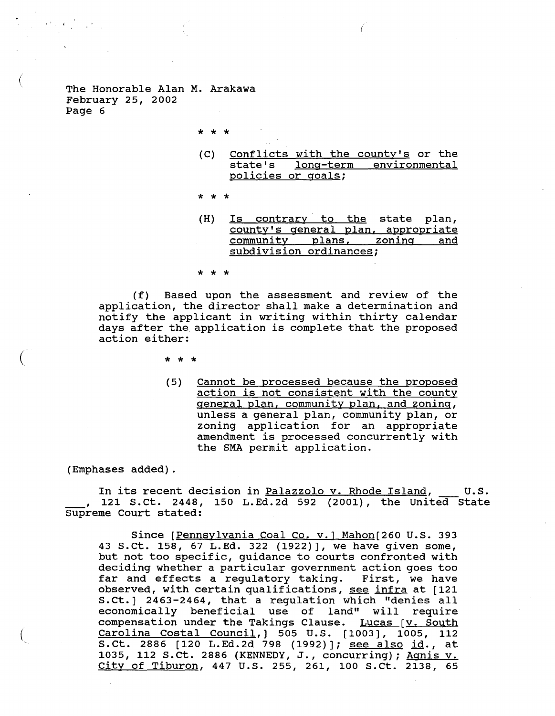(

" ,

(

- (C) Conflicts with the county's or the state's long-term environmental policies or goals;
- \* \* \*

\* \* \*

\* \* \*

(H) <u>Is contrary to the</u> state plan, county's general plan, appropriate community plans, zoning and subdivision ordinances;

(f) Based upon the assessment and review of the application, the director shall make a determination and notify the applicant in writing within thirty calendar days after the. application is complete that the proposed action either:

- \* \* \*
- (5) Cannot be processed because the proposed action is not consistent with the county general plan, community plan, and zoning, unless a general plan, community plan, or zoning application for an appropriate amendment is processed concurrently with the SMA permit application.

(Emphases added).

In its recent decision in Palazzolo v. Rhode Island, U.S. , 121 S.Ct. 2448, 150 L.Ed.2d 592 (2001), the United State Supreme Court stated:

Since [Pennsylvania Coal Co. v.] Mahon[260 U.S. 393 43 S.ct. 158, 67 L.Ed. 322 (1922)], we have given some, but not too specific, guidance to courts confronted with deciding whether a particular government action goes too far and effects <sup>a</sup> regulatory taking. First, we have observed, with certain qualifications, see infra at [121 S.ct.] 2463-2464, that <sup>a</sup> regulation which "denies all economically beneficial use of land" will require compensation under the Takings Clause. Lucas [v. South Carolina Costal Council,] 505 U. S. [1003], 1005, 112 <u>edicithd cooldi councit</u>, y 505 c.s. [1005], 1005, 112<br>S.Ct. 2886 [120 L.Ed.2d 798 (1992)]; <u>see also id</u>., at 1035, 112 S.Ct. 2886 (KENNEDY, J., concurring); Agnis v. city of Tiburon, 447 U.S. 255, 261, 100 S.ct. 2138, <sup>65</sup>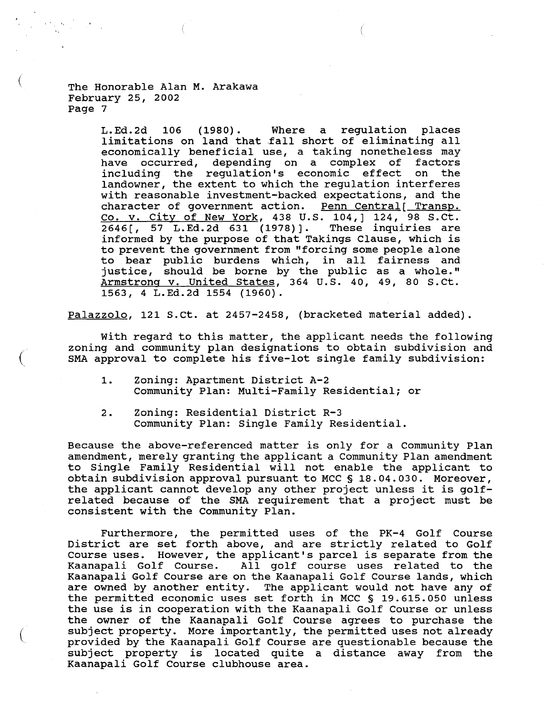(

" "

(

(

L.Ed.2d 106 (1980). Where a regulation places limitations on land that £all short of eliminating all economically beneficial use, a taking nonetheless may<br>have occurred, depending on a complex of factors have occurred, depending on a complex of including the regulation's economic effect on the landowner, the extent to which the regulation interferes with reasonable investment-backed expectations, and the character of government action. Penn Central [ Transp. Co. v. City of New York, 438 U.S. 104,] 124, 98 S.ct. 2646[, 57 L.Ed.2d 631 (1978)]. These inquiries are informed by the purpose of that Takings Clause, which is to prevent the government from "forcing some people alone to bear public burdens which, in all fairness and justice, should be borne by the public as a whole." Armstrong v. United States, 364 U.S. 40, 49, 80 S.ct. 1563, 4 L.Ed.2d 1554 (1960).

Palazzolo, 121 S.ct. at 2457-2458, (bracketed material added).

with regard to this matter, the applicant needs the following zoning and community plan designations to obtain subdivision and SMA approval to complete his five-lot single family subdivision:

- 1. Zoning: Apartment District A-2 Community Plan: MUlti-Family Residential; or
- 2. Zoning: Residential District R-3 Community Plan: Single Family Residential.

Because the above-referenced matter is only for <sup>a</sup> community Plan amendment, merely granting the applicant a community Plan amendment to Single Family Residential will not enable the applicant to obtain subdivision approval pursuant to MCC § 18.04.030. Moreover, the applicant cannot develop any other project unless it is golfrelated because of the SMA requirement that a project must be consistent with the Community Plan.

Furthermore, the permitted uses of the PK-4 Golf Course District are set forth above, and are strictly related to Golf Course uses. However, the applicant's parcel is separate from the<br>Kaanapali Golf Course. All golf course uses related to the All golf course uses related to the Kaanapali Golf Course are on the Kaanapali Golf Course lands, which are owned by another entity. The applicant would not have any of the permitted economic uses set forth in MCC § 19.615.050 unless the use is in cooperation with the Kaanapali Golf Course or unless the owner of the Kaanapali Golf Course agrees to purchase the subject property. More importantly, the permitted uses not already provided by the Kaanapali Golf Course are questionable because the subject property is located quite a distance away from the Kaanapali Golf Course clubhouse area.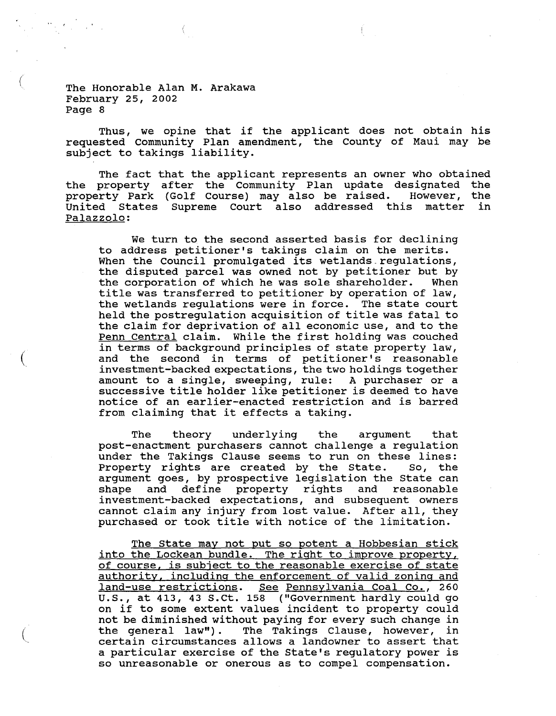(

 $\big($ 

(

Thus, we opine that if the applicant does not obtain his requested community Plan amendment, the county of Maui may be subject to takings liability.

The fact that the applicant represents an owner who obtained the property after the Community Plan update designated the property Park (Golf Course) may also be raised. However, the United states Supreme Court also addressed this matter in Palazzolo:

We turn to the second asserted basis for declining to address petitioner's takings claim on the merits. When the Council promulgated its wetlands regulations, the disputed parcel was owned not by petitioner but by<br>the corporation of which he was sole shareholder. When the corporation of which he was sole shareholder. title was transferred to petitioner by operation of law, the wetlands regulations were in force. The state court held the postregulation acquisition of title was fatal to the claim for deprivation of all economic use, and to the Penn Central claim. While the first holding was couched in terms of background principles of state property law, and the second in terms of petitioner's reasonable investment-backed expectations, the two holdings together amount to a single, sweeping, rule: A purchaser or a successive title holder like petitioner is deemed to have notice of an earlier-enacted restriction and is barred from claiming that it effects <sup>a</sup> taking.

The theory underlying the argument that post-enactment purchasers cannot challenge a regulation under the Takings Clause seems to run on these lines:<br>Property rights are created by the State. So, the Property rights are created by the State. argument goes, by prospective legislation the State can shape and define property rights and reasonable investment-backed expectations, and subsequent owners cannot claim any injury from lost value. After all, they purchased or took title with notice of the limitation.

The State may not put so potent a Hobbesian stick into the Lockean bundle. The right to improve property, of course, is subject to the reasonable exercise of state authority, including the enforcement of valid zoning and land-use restrictions. See Pennsylvania Coal Co., 260 10110 USC 105011001018. Dee Ichnsylvanid Coul Co., 200<br>U.S., at 413, 43 S.Ct. 158 ("Government hardly could go on if to some extent values incident to property could not be diminished without paying for every such change in the general law"). The Takings Clause, however, in certain circumstances allows <sup>a</sup> landowner to assert that <sup>a</sup> particular exercise of the State's regulatory power is so unreasonable or onerous as to compel compensation.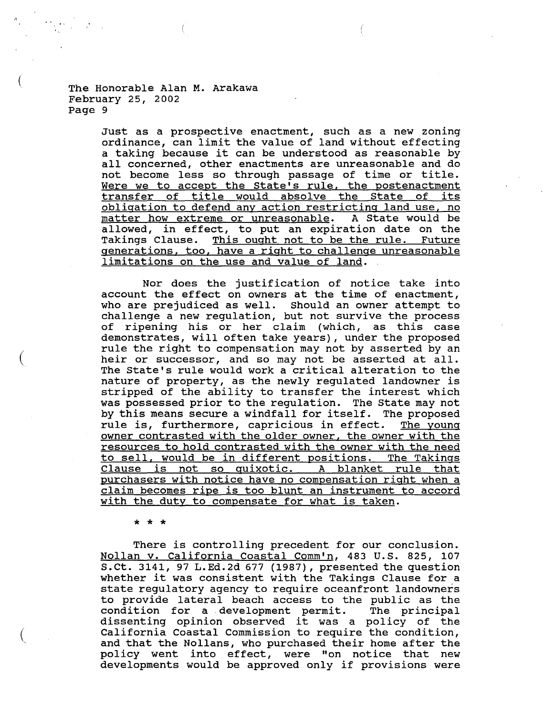(

(

(

Just as a prospective enactment, such as a new zoning ordinance, can limit the value of land without effecting <sup>a</sup> taking because it can be understood as reasonable by all concerned, other enactments are unreasonable and do not become less so through passage of time or title. Were we to accept the State's rule, the postenactment transfer of title would absolve the state of its obligation to defend any action restricting land use, no matter how extreme or unreasonable. <sup>A</sup> state would be allowed, in effect, to put an expiration date on the Takings Clause. This ought not to be the rule. Future generations, too, have a right to challenge unreasonable limitations on the use and value of land.

Nor does the justification of notice take into account the effect on owners at the time of enactment, who are prejudiced as well. Should an owner attempt to challenge a new regulation, but not survive the process of ripening his or her claim (which, as this case demonstrates, will often take years), under the proposed rule the right to compensation may not by asserted by an heir or successor, and so may not be asserted at all. The State's rule would work <sup>a</sup> critical alteration to the nature of property, as the newly regulated landowner is stripped of the ability to transfer the interest which was possessed prior to the requlation. The State may not by this means secure a windfall for itself. The proposed rule is, furthermore, capricious in effect. The young rule is, furthermore, capricious in effect. owner contrasted with the older owner, the owner with the resources to hold contrasted with the owner with the need to sell, would be in different positions. The Takings Clause is not so quixotic. <sup>A</sup> blanket rule that purchasers with notice have no compensation right when <sup>a</sup> claim becomes ripe is too blunt an instrument to accord with the duty to compensate for what is taken.

\* \* \*

There is controlling precedent for our conclusion. Nollan v. California Coastal Comm'n, 483 U.S. 825, 107 S.ct. 3141, 97 L.Ed.2d 677 (1987), presented the question whether it was consistent with the Takings Clause for <sup>a</sup> state regulatory agency to require oceanfront landowners to provide lateral beach access to the public as the condition for a. development permit. The principal dissenting opinion observed it was a policy of the California Coastal Commission to require the condition, and that the Nollans, who purchased their home after the policy went into effect, were "on notice that new developments would be approved only if provisions were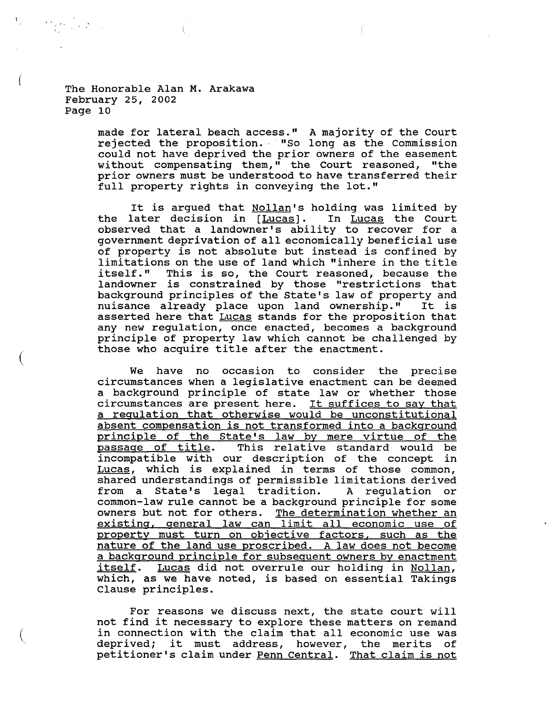(

a Martin Santan

(

(

made for lateral beach access." <sup>A</sup> majority of the court rejected the proposition. "So long as the Commission could not have deprived the prior owners of the easement without compensating them," the Court reasoned, "the prior owners must be understood to have transferred their full property rights in conveying the lot."

It is argued that Nollan's holding was limited by the later decision in [Lucas]. In Lucas the Court observed that <sup>a</sup> landowner's ability to recover for <sup>a</sup> government deprivation of all economically beneficial use of property is not absolute but instead is confined by limitations on the use of land which "inhere in the title itself." This is so, the Court reasoned, because the This is so, the Court reasoned, because the landowner is constrained by those "restrictions that background principles of the State's law of property and nuisance already place upon land ownership." It is nuisance already place upon land ownership." asserted here that Lucas stands for the proposition that any new regulation, once enacted, becomes a background principle of property law which cannot be challenged by those who acquire title after the enactment.

We have no occasion to consider the precise circumstances when a legislative enactment can be deemed <sup>a</sup> background principle of state law or whether those circumstances are present here. It suffices to say that <sup>a</sup> regulation that otherwise would be unconstitutional absent compensation is not transformed into <sup>a</sup> background principle of the State's law by mere virtue of the passage of title. This relative standard would be incompatible with our description of the concept in Lucas, which is explained in terms of those common, shared understandings of permissible limitations derived<br>from a State's legal tradition. A requlation or from a State's legal tradition. common-law rule cannot be a background principle for some owners but not for others. The determination whether an existing, general law can limit all economic use of property must turn on objective factors, such as the nature of the land use proscribed. A law does not become a background principle for subseguent owners by enactment itself. Lucas did not overrule our holding in Nollan, which, as we have noted, is based on essential Takings Clause principles.

For reasons we discuss next, the state court will not find it necessary to explore these matters on remand in connection with the claim that all economic use was in connection with the claim that all economic use was<br>deprived; it must address, however, the merits of acprived, it mase dadress, nowever, the merics of<br>petitioner's claim under <u>Penn Central</u>. That claim is not